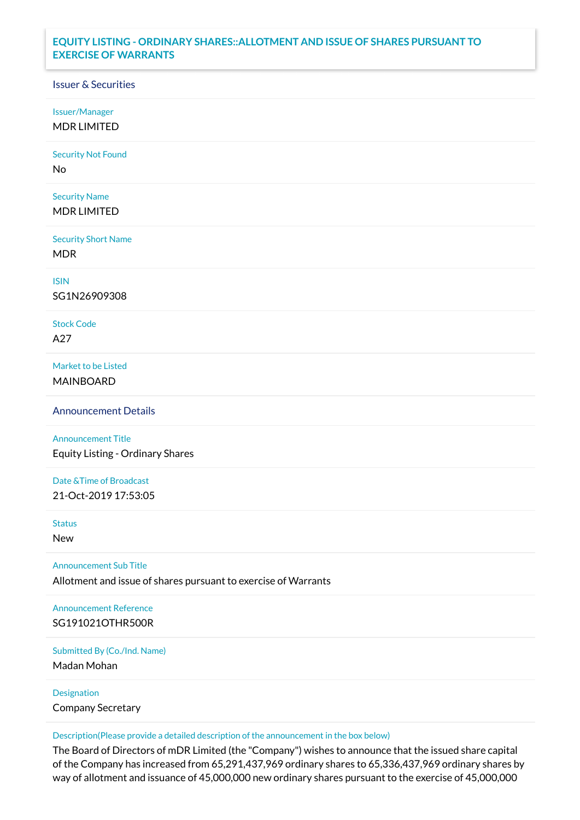## **EQUITY LISTING - ORDINARY SHARES::ALLOTMENT AND ISSUE OF SHARES PURSUANT TO EXERCISE OF WARRANTS**

## Issuer & Securities

Issuer/Manager

MDR LIMITED

Security Not Found

No

Security Name MDR LIMITED

Security Short Name MDR

ISIN

SG1N26909308

Stock Code A27

Market to be Listed MAINBOARD

Announcement Details

Announcement Title Equity Listing - Ordinary Shares

Date &Time of Broadcast 21-Oct-2019 17:53:05

Status

New

Announcement Sub Title

Allotment and issue of shares pursuant to exercise of Warrants

Announcement Reference SG191021OTHR500R

Submitted By (Co./Ind. Name)

Madan Mohan

Designation Company Secretary

Description(Please provide a detailed description of the announcement in the box below)

The Board of Directors of mDR Limited (the "Company") wishes to announce that the issued share capital of the Company has increased from 65,291,437,969 ordinary shares to 65,336,437,969 ordinary shares by way of allotment and issuance of 45,000,000 new ordinary shares pursuant to the exercise of 45,000,000